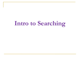# **Intro to Searching**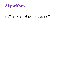# **Algorithm**

■ What is an algorithm, again?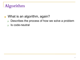# **Algorithm**

#### ■ What is an algorithm, again?

- ❑ Describes the process of how we solve a problem
- □ Is code-neutral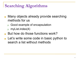# **Searching Algorithms**

- Many objects already provide searching methods for us
	- ❑ Good example of encapsulation
	- myList.index(4)
- But how do those functions work?
- Let's write some code in basic python to search a list without methods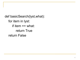def basicSearch(lyst,what): for item in lyst: if item  $==$  what: return True return False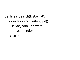def linearSearch(lyst,what): for index in range(len(lyst)): if lyst[index]  $==$  what: return index return -1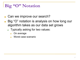**Big "O" Notation**

- Can we improve our search?
- Big "O" notation is analysis on how long our algorithm takes as our data set grows
	- ❑ Typically asking for two values:
		- On average
		- Worst case scenario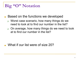# **Big "O" Notation**

- Based on the functions we developed
	- ❑ Worst case scenario, how many things do we need to look at to find our number in the list?
	- ❑ On average, how many things do we need to look at to find our number in the list?

What if our list were of size 20?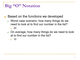# **Big "O" Notation**

- Based on the functions we developed
	- ❑ Worst case scenario, how many things do we need to look at to find our number in the list?
		- 20
	- ❑ On average, how many things do we need to look at to find our number in the list?

■ 10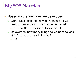# **Big "O" Notation**

- Based on the functions we developed
	- ❑ Worst case scenario, how many things do we need to look at to find our number in the list?
		- N, where N is the number of items in the list
	- ❑ On average, how many things do we need to look at to find our number in the list?
		- $N/2$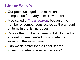#### **Linear Search**

- Our previous algorithms make one comparison for every item as worst case.
- Also called a *linear search*, because the number of comparisons scales as the amount of items in the list increases
- Double the number of items in list, double the amount of time needed to complete the search in the worst case
- Can we do better than a linear search
	- Less comparisons, even on worst case?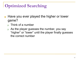# **Optimized Searching**

- Have you ever played the higher or lower game?
	- ❑ Think of a number
	- ❑ As the player guesses the number, you say "higher" or "lower" until the player finally guesses the correct number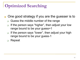# **Optimized Searching**

- One good strategy if you are the guesser is to
	- ❑ Guess the middle number of the range
	- If the person says "higher", then adjust your low range bound to be your guess+1
	- ❑ If the person says "lower", then adjust your high range bound to be your guess-1
	- ❑ Repeat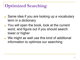# **Optimized Searching**

- Same idea if you are looking up a vocabulary term in a dictionary
- You will open the book, look at the current word, and figure out if you should search lower or higher
- We might as well use this kind of additional information to optimize our searching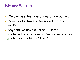- We can use this type of search on our list
- Does our list have to be sorted for this to work?
- Say that we have a list of 20 items
	- What is the worst case number of comparisons?
	- □ What about a list of 40 items?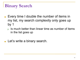- Every time I double the number of items in my list, my search complexity only goes up by 1
	- $\Box$  Is much better than linear time as number of items in the list goes up
- Let's write a binary search.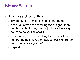#### Binary search algorithm

- Try the guess at middle index of the range
- If the value we are searching for is higher than number at the index, then adjust your low range bound to be your guess+1
- ❑ If the value we are searching for is lower than number at the index, then adjust your high range bound to be your guess-1
- ❑ Repeat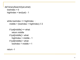```
def binarySearch(lyst,what):
 lowIndex = 0highIndex = len(lyst) - 1
```

```
while lowIndex <= highIndex :
 middle = (lowIndex + highIndex) \frac{1}{2}
```

```
if lyst[middle] == what:
  return middle
if lyst[middle] > what:
  highIndex = middle - 1
if lyst[middle] < what:
 lowIndex = middle + 1
```
return -1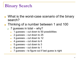- What is the worst-case scenario of the binary search?
- Thinking of a number between 1 and 100
	- ❑ 7 guesses in total why?
		- 1 guesses  $-$  cut down to 50 possibilities
		- $2$  guesses cut down to 25
		- $3$  guesses cut down to 12
		- $\blacksquare$  4 guesses cut down to 6
		- $\blacksquare$  5 guesses cut down to 3
		- 6 guesses cut down to 1
		- 7 guesses to figure out if last guess is right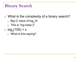■ What is the complexity of a binary search?

- $\Box~$  Big O value of log $_2$  N
- □ This is "log base 2"
- $log<sub>2</sub>(100) = x$ 
	- ❑ What is this saying?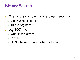- What is the complexity of a binary search?
	- $\Box~$  Big O value of log $_2$  N
	- ❑ This is "log base 2"
- $log<sub>2</sub>(100) = x$ 
	- ❑ What is this saying?
	- $2^x = 100$
	- ❑ Go "to the next power" when not exact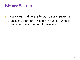- How does that relate to our binary search?
	- ❑ Let's say there are 16 items in our list. What is the worst case number of guesses?